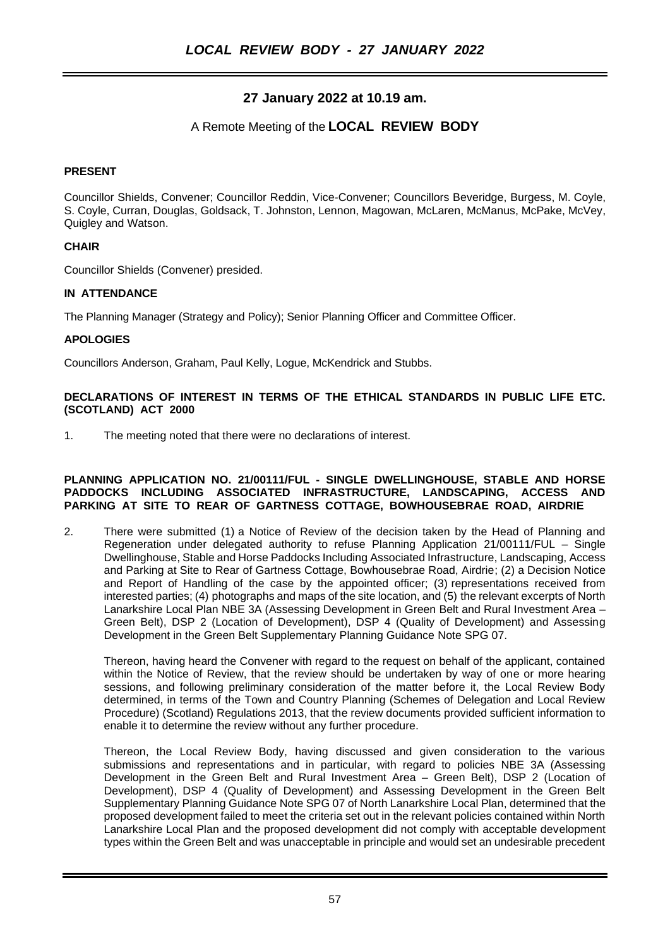# **27 January 2022 at 10.19 am.**

## A Remote Meeting of the **LOCAL REVIEW BODY**

#### **PRESENT**

Councillor Shields, Convener; Councillor Reddin, Vice-Convener; Councillors Beveridge, Burgess, M. Coyle, S. Coyle, Curran, Douglas, Goldsack, T. Johnston, Lennon, Magowan, McLaren, McManus, McPake, McVey, Quigley and Watson.

## **CHAIR**

Councillor Shields (Convener) presided.

## **IN ATTENDANCE**

The Planning Manager (Strategy and Policy); Senior Planning Officer and Committee Officer.

## **APOLOGIES**

Councillors Anderson, Graham, Paul Kelly, Logue, McKendrick and Stubbs.

#### **DECLARATIONS OF INTEREST IN TERMS OF THE ETHICAL STANDARDS IN PUBLIC LIFE ETC. (SCOTLAND) ACT 2000**

1. The meeting noted that there were no declarations of interest.

#### **PLANNING APPLICATION NO. 21/00111/FUL - SINGLE DWELLINGHOUSE, STABLE AND HORSE PADDOCKS INCLUDING ASSOCIATED INFRASTRUCTURE, LANDSCAPING, ACCESS AND PARKING AT SITE TO REAR OF GARTNESS COTTAGE, BOWHOUSEBRAE ROAD, AIRDRIE**

2. There were submitted (1) a Notice of Review of the decision taken by the Head of Planning and Regeneration under delegated authority to refuse Planning Application 21/00111/FUL – Single Dwellinghouse, Stable and Horse Paddocks Including Associated Infrastructure, Landscaping, Access and Parking at Site to Rear of Gartness Cottage, Bowhousebrae Road, Airdrie; (2) a Decision Notice and Report of Handling of the case by the appointed officer; (3) representations received from interested parties; (4) photographs and maps of the site location, and (5) the relevant excerpts of North Lanarkshire Local Plan NBE 3A (Assessing Development in Green Belt and Rural Investment Area – Green Belt), DSP 2 (Location of Development), DSP 4 (Quality of Development) and Assessing Development in the Green Belt Supplementary Planning Guidance Note SPG 07.

Thereon, having heard the Convener with regard to the request on behalf of the applicant, contained within the Notice of Review, that the review should be undertaken by way of one or more hearing sessions, and following preliminary consideration of the matter before it, the Local Review Body determined, in terms of the Town and Country Planning (Schemes of Delegation and Local Review Procedure) (Scotland) Regulations 2013, that the review documents provided sufficient information to enable it to determine the review without any further procedure.

Thereon, the Local Review Body, having discussed and given consideration to the various submissions and representations and in particular, with regard to policies NBE 3A (Assessing Development in the Green Belt and Rural Investment Area – Green Belt), DSP 2 (Location of Development), DSP 4 (Quality of Development) and Assessing Development in the Green Belt Supplementary Planning Guidance Note SPG 07 of North Lanarkshire Local Plan, determined that the proposed development failed to meet the criteria set out in the relevant policies contained within North Lanarkshire Local Plan and the proposed development did not comply with acceptable development types within the Green Belt and was unacceptable in principle and would set an undesirable precedent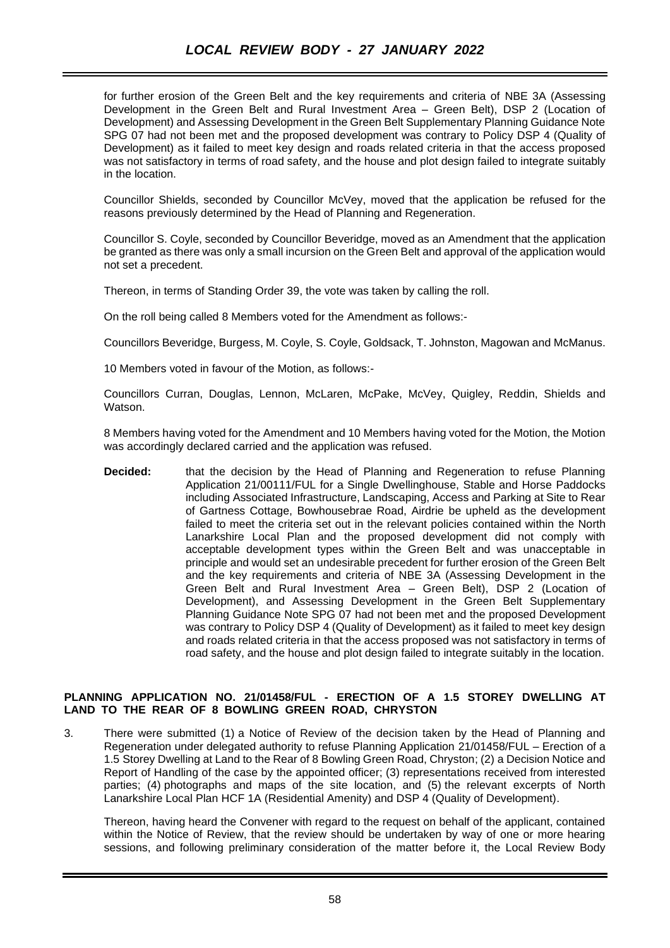for further erosion of the Green Belt and the key requirements and criteria of NBE 3A (Assessing Development in the Green Belt and Rural Investment Area – Green Belt), DSP 2 (Location of Development) and Assessing Development in the Green Belt Supplementary Planning Guidance Note SPG 07 had not been met and the proposed development was contrary to Policy DSP 4 (Quality of Development) as it failed to meet key design and roads related criteria in that the access proposed was not satisfactory in terms of road safety, and the house and plot design failed to integrate suitably in the location.

Councillor Shields, seconded by Councillor McVey, moved that the application be refused for the reasons previously determined by the Head of Planning and Regeneration.

Councillor S. Coyle, seconded by Councillor Beveridge, moved as an Amendment that the application be granted as there was only a small incursion on the Green Belt and approval of the application would not set a precedent.

Thereon, in terms of Standing Order 39, the vote was taken by calling the roll.

On the roll being called 8 Members voted for the Amendment as follows:-

Councillors Beveridge, Burgess, M. Coyle, S. Coyle, Goldsack, T. Johnston, Magowan and McManus.

10 Members voted in favour of the Motion, as follows:-

Councillors Curran, Douglas, Lennon, McLaren, McPake, McVey, Quigley, Reddin, Shields and Watson.

8 Members having voted for the Amendment and 10 Members having voted for the Motion, the Motion was accordingly declared carried and the application was refused.

**Decided:** that the decision by the Head of Planning and Regeneration to refuse Planning Application 21/00111/FUL for a Single Dwellinghouse, Stable and Horse Paddocks including Associated Infrastructure, Landscaping, Access and Parking at Site to Rear of Gartness Cottage, Bowhousebrae Road, Airdrie be upheld as the development failed to meet the criteria set out in the relevant policies contained within the North Lanarkshire Local Plan and the proposed development did not comply with acceptable development types within the Green Belt and was unacceptable in principle and would set an undesirable precedent for further erosion of the Green Belt and the key requirements and criteria of NBE 3A (Assessing Development in the Green Belt and Rural Investment Area – Green Belt), DSP 2 (Location of Development), and Assessing Development in the Green Belt Supplementary Planning Guidance Note SPG 07 had not been met and the proposed Development was contrary to Policy DSP 4 (Quality of Development) as it failed to meet key design and roads related criteria in that the access proposed was not satisfactory in terms of road safety, and the house and plot design failed to integrate suitably in the location.

#### **PLANNING APPLICATION NO. 21/01458/FUL - ERECTION OF A 1.5 STOREY DWELLING AT LAND TO THE REAR OF 8 BOWLING GREEN ROAD, CHRYSTON**

3. There were submitted (1) a Notice of Review of the decision taken by the Head of Planning and Regeneration under delegated authority to refuse Planning Application 21/01458/FUL – Erection of a 1.5 Storey Dwelling at Land to the Rear of 8 Bowling Green Road, Chryston; (2) a Decision Notice and Report of Handling of the case by the appointed officer; (3) representations received from interested parties; (4) photographs and maps of the site location, and (5) the relevant excerpts of North Lanarkshire Local Plan HCF 1A (Residential Amenity) and DSP 4 (Quality of Development).

Thereon, having heard the Convener with regard to the request on behalf of the applicant, contained within the Notice of Review, that the review should be undertaken by way of one or more hearing sessions, and following preliminary consideration of the matter before it, the Local Review Body